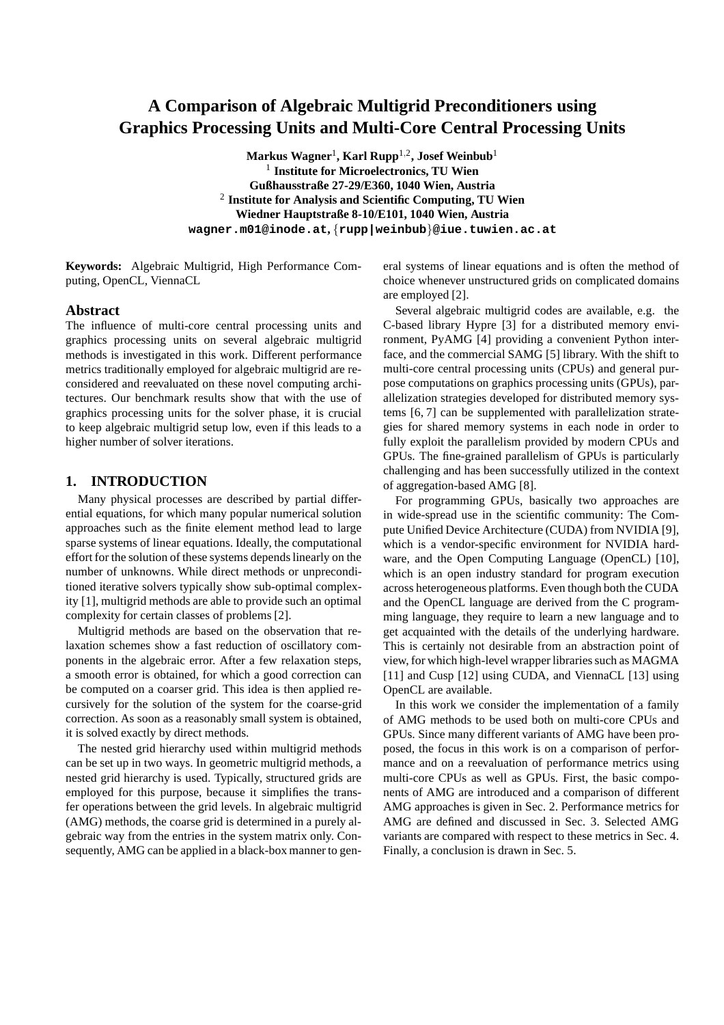# **A Comparison of Algebraic Multigrid Preconditioners using Graphics Processing Units and Multi-Core Central Processing Units**

**Markus Wagner**<sup>1</sup> **, Karl Rupp**1,<sup>2</sup> **, Josef Weinbub**<sup>1</sup> 1 **Institute for Microelectronics, TU Wien Gußhausstraße 27-29/E360, 1040 Wien, Austria** 2 **Institute for Analysis and Scientific Computing, TU Wien Wiedner Hauptstraße 8-10/E101, 1040 Wien, Austria wagner.m01@inode.at,** {**rupp|weinbub**}**@iue.tuwien.ac.at**

**Keywords:** Algebraic Multigrid, High Performance Computing, OpenCL, ViennaCL

#### **Abstract**

The influence of multi-core central processing units and graphics processing units on several algebraic multigrid methods is investigated in this work. Different performance metrics traditionally employed for algebraic multigrid are reconsidered and reevaluated on these novel computing architectures. Our benchmark results show that with the use of graphics processing units for the solver phase, it is crucial to keep algebraic multigrid setup low, even if this leads to a higher number of solver iterations.

#### **1. INTRODUCTION**

Many physical processes are described by partial differential equations, for which many popular numerical solution approaches such as the finite element method lead to large sparse systems of linear equations. Ideally, the computational effort for the solution of these systems depends linearly on the number of unknowns. While direct methods or unpreconditioned iterative solvers typically show sub-optimal complexity [1], multigrid methods are able to provide such an optimal complexity for certain classes of problems [2].

Multigrid methods are based on the observation that relaxation schemes show a fast reduction of oscillatory components in the algebraic error. After a few relaxation steps, a smooth error is obtained, for which a good correction can be computed on a coarser grid. This idea is then applied recursively for the solution of the system for the coarse-grid correction. As soon as a reasonably small system is obtained, it is solved exactly by direct methods.

The nested grid hierarchy used within multigrid methods can be set up in two ways. In geometric multigrid methods, a nested grid hierarchy is used. Typically, structured grids are employed for this purpose, because it simplifies the transfer operations between the grid levels. In algebraic multigrid (AMG) methods, the coarse grid is determined in a purely algebraic way from the entries in the system matrix only. Consequently, AMG can be applied in a black-box manner to general systems of linear equations and is often the method of choice whenever unstructured grids on complicated domains are employed [2].

Several algebraic multigrid codes are available, e.g. the C-based library Hypre [3] for a distributed memory environment, PyAMG [4] providing a convenient Python interface, and the commercial SAMG [5] library. With the shift to multi-core central processing units (CPUs) and general purpose computations on graphics processing units (GPUs), parallelization strategies developed for distributed memory systems [6, 7] can be supplemented with parallelization strategies for shared memory systems in each node in order to fully exploit the parallelism provided by modern CPUs and GPUs. The fine-grained parallelism of GPUs is particularly challenging and has been successfully utilized in the context of aggregation-based AMG [8].

For programming GPUs, basically two approaches are in wide-spread use in the scientific community: The Compute Unified Device Architecture (CUDA) from NVIDIA [9], which is a vendor-specific environment for NVIDIA hardware, and the Open Computing Language (OpenCL) [10], which is an open industry standard for program execution across heterogeneous platforms. Even though both the CUDA and the OpenCL language are derived from the C programming language, they require to learn a new language and to get acquainted with the details of the underlying hardware. This is certainly not desirable from an abstraction point of view, for which high-level wrapper libraries such as MAGMA [11] and Cusp [12] using CUDA, and ViennaCL [13] using OpenCL are available.

In this work we consider the implementation of a family of AMG methods to be used both on multi-core CPUs and GPUs. Since many different variants of AMG have been proposed, the focus in this work is on a comparison of performance and on a reevaluation of performance metrics using multi-core CPUs as well as GPUs. First, the basic components of AMG are introduced and a comparison of different AMG approaches is given in Sec. 2. Performance metrics for AMG are defined and discussed in Sec. 3. Selected AMG variants are compared with respect to these metrics in Sec. 4. Finally, a conclusion is drawn in Sec. 5.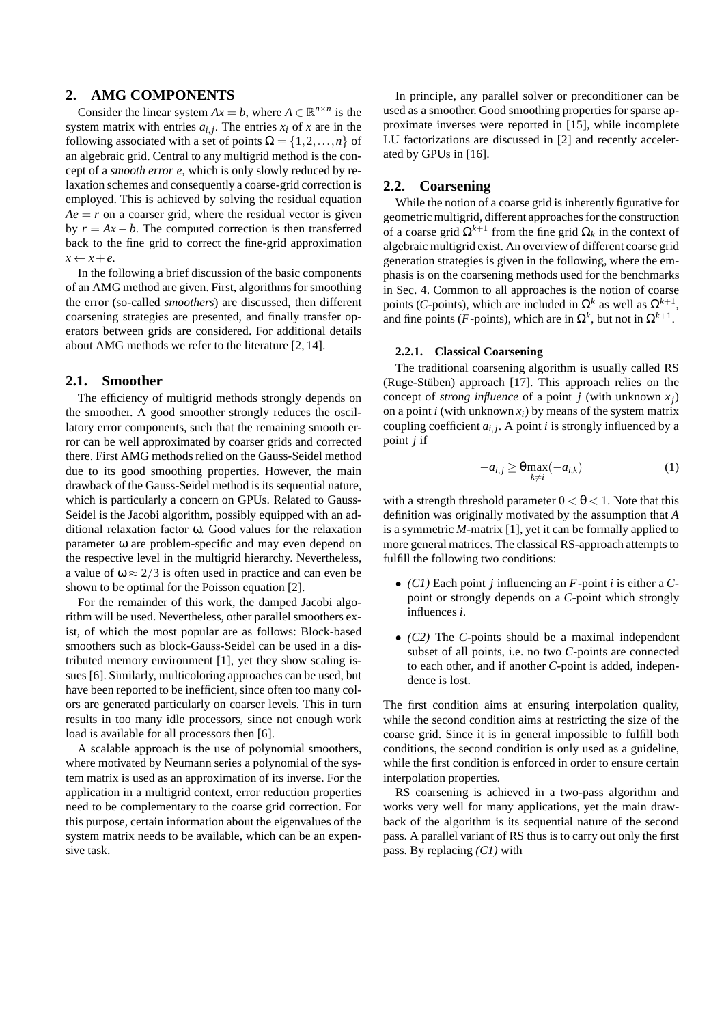## **2. AMG COMPONENTS**

Consider the linear system  $Ax = b$ , where  $A \in \mathbb{R}^{n \times n}$  is the system matrix with entries  $a_{i,j}$ . The entries  $x_i$  of x are in the following associated with a set of points  $\Omega = \{1, 2, ..., n\}$  of an algebraic grid. Central to any multigrid method is the concept of a *smooth error e*, which is only slowly reduced by relaxation schemes and consequently a coarse-grid correction is employed. This is achieved by solving the residual equation  $Ae = r$  on a coarser grid, where the residual vector is given by  $r = Ax - b$ . The computed correction is then transferred back to the fine grid to correct the fine-grid approximation  $x \leftarrow x + e$ .

In the following a brief discussion of the basic components of an AMG method are given. First, algorithms for smoothing the error (so-called *smoothers*) are discussed, then different coarsening strategies are presented, and finally transfer operators between grids are considered. For additional details about AMG methods we refer to the literature [2, 14].

#### **2.1. Smoother**

The efficiency of multigrid methods strongly depends on the smoother. A good smoother strongly reduces the oscillatory error components, such that the remaining smooth error can be well approximated by coarser grids and corrected there. First AMG methods relied on the Gauss-Seidel method due to its good smoothing properties. However, the main drawback of the Gauss-Seidel method is its sequential nature, which is particularly a concern on GPUs. Related to Gauss-Seidel is the Jacobi algorithm, possibly equipped with an additional relaxation factor ω. Good values for the relaxation parameter ω are problem-specific and may even depend on the respective level in the multigrid hierarchy. Nevertheless, a value of  $\omega \approx 2/3$  is often used in practice and can even be shown to be optimal for the Poisson equation [2].

For the remainder of this work, the damped Jacobi algorithm will be used. Nevertheless, other parallel smoothers exist, of which the most popular are as follows: Block-based smoothers such as block-Gauss-Seidel can be used in a distributed memory environment [1], yet they show scaling issues [6]. Similarly, multicoloring approaches can be used, but have been reported to be inefficient, since often too many colors are generated particularly on coarser levels. This in turn results in too many idle processors, since not enough work load is available for all processors then [6].

A scalable approach is the use of polynomial smoothers, where motivated by Neumann series a polynomial of the system matrix is used as an approximation of its inverse. For the application in a multigrid context, error reduction properties need to be complementary to the coarse grid correction. For this purpose, certain information about the eigenvalues of the system matrix needs to be available, which can be an expensive task.

In principle, any parallel solver or preconditioner can be used as a smoother. Good smoothing properties for sparse approximate inverses were reported in [15], while incomplete LU factorizations are discussed in [2] and recently accelerated by GPUs in [16].

#### **2.2. Coarsening**

While the notion of a coarse grid is inherently figurative for geometric multigrid, different approaches for the construction of a coarse grid  $\Omega^{k+1}$  from the fine grid  $\Omega_k$  in the context of algebraic multigrid exist. An overview of different coarse grid generation strategies is given in the following, where the emphasis is on the coarsening methods used for the benchmarks in Sec. 4. Common to all approaches is the notion of coarse points (*C*-points), which are included in  $\Omega^k$  as well as  $\Omega^{k+1}$ , and fine points (*F*-points), which are in  $\Omega^k$ , but not in  $\Omega^{k+1}$ .

#### **2.2.1. Classical Coarsening**

The traditional coarsening algorithm is usually called RS (Ruge-Stüben) approach [17]. This approach relies on the concept of *strong influence* of a point *j* (with unknown  $x_i$ ) on a point *i* (with unknown  $x_i$ ) by means of the system matrix coupling coefficient  $a_{i,j}$ . A point *i* is strongly influenced by a point *j* if

$$
-a_{i,j} \geq \theta \max_{k \neq i} (-a_{i,k})
$$
 (1)

with a strength threshold parameter  $0 < \theta < 1$ . Note that this definition was originally motivated by the assumption that *A* is a symmetric *M*-matrix [1], yet it can be formally applied to more general matrices. The classical RS-approach attempts to fulfill the following two conditions:

- *(C1)* Each point *j* influencing an *F*-point *i* is either a *C*point or strongly depends on a *C*-point which strongly influences *i*.
- *(C2)* The *C*-points should be a maximal independent subset of all points, i.e. no two *C*-points are connected to each other, and if another *C*-point is added, independence is lost.

The first condition aims at ensuring interpolation quality, while the second condition aims at restricting the size of the coarse grid. Since it is in general impossible to fulfill both conditions, the second condition is only used as a guideline, while the first condition is enforced in order to ensure certain interpolation properties.

RS coarsening is achieved in a two-pass algorithm and works very well for many applications, yet the main drawback of the algorithm is its sequential nature of the second pass. A parallel variant of RS thus is to carry out only the first pass. By replacing *(C1)* with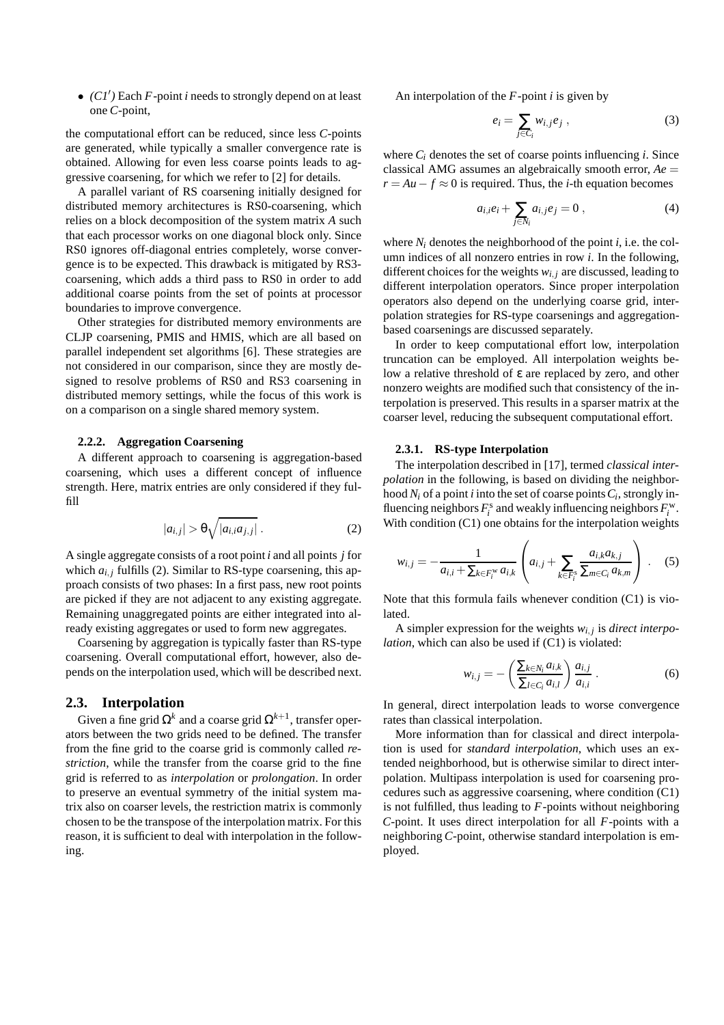• *(C1*′ *)* Each *F*-point *i* needs to strongly depend on at least one *C*-point,

the computational effort can be reduced, since less *C*-points are generated, while typically a smaller convergence rate is obtained. Allowing for even less coarse points leads to aggressive coarsening, for which we refer to [2] for details.

A parallel variant of RS coarsening initially designed for distributed memory architectures is RS0-coarsening, which relies on a block decomposition of the system matrix *A* such that each processor works on one diagonal block only. Since RS0 ignores off-diagonal entries completely, worse convergence is to be expected. This drawback is mitigated by RS3 coarsening, which adds a third pass to RS0 in order to add additional coarse points from the set of points at processor boundaries to improve convergence.

Other strategies for distributed memory environments are CLJP coarsening, PMIS and HMIS, which are all based on parallel independent set algorithms [6]. These strategies are not considered in our comparison, since they are mostly designed to resolve problems of RS0 and RS3 coarsening in distributed memory settings, while the focus of this work is on a comparison on a single shared memory system.

#### **2.2.2. Aggregation Coarsening**

A different approach to coarsening is aggregation-based coarsening, which uses a different concept of influence strength. Here, matrix entries are only considered if they fulfill

$$
|a_{i,j}| > \Theta \sqrt{|a_{i,i}a_{j,j}|} . \tag{2}
$$

A single aggregate consists of a root point *i* and all points *j* for which  $a_{i,j}$  fulfills (2). Similar to RS-type coarsening, this approach consists of two phases: In a first pass, new root points are picked if they are not adjacent to any existing aggregate. Remaining unaggregated points are either integrated into already existing aggregates or used to form new aggregates.

Coarsening by aggregation is typically faster than RS-type coarsening. Overall computational effort, however, also depends on the interpolation used, which will be described next.

#### **2.3. Interpolation**

Given a fine grid  $\Omega^k$  and a coarse grid  $\Omega^{k+1}$ , transfer operators between the two grids need to be defined. The transfer from the fine grid to the coarse grid is commonly called *restriction*, while the transfer from the coarse grid to the fine grid is referred to as *interpolation* or *prolongation*. In order to preserve an eventual symmetry of the initial system matrix also on coarser levels, the restriction matrix is commonly chosen to be the transpose of the interpolation matrix. For this reason, it is sufficient to deal with interpolation in the following.

An interpolation of the *F*-point *i* is given by

$$
e_i = \sum_{j \in C_i} w_{i,j} e_j , \qquad (3)
$$

where  $C_i$  denotes the set of coarse points influencing *i*. Since classical AMG assumes an algebraically smooth error, *Ae* =  $r = Au - f \approx 0$  is required. Thus, the *i*-th equation becomes

$$
a_{i,i}e_i + \sum_{j \in N_i} a_{i,j}e_j = 0 , \qquad (4)
$$

where  $N_i$  denotes the neighborhood of the point *i*, i.e. the column indices of all nonzero entries in row *i*. In the following, different choices for the weights  $w_{i,j}$  are discussed, leading to different interpolation operators. Since proper interpolation operators also depend on the underlying coarse grid, interpolation strategies for RS-type coarsenings and aggregationbased coarsenings are discussed separately.

In order to keep computational effort low, interpolation truncation can be employed. All interpolation weights below a relative threshold of ε are replaced by zero, and other nonzero weights are modified such that consistency of the interpolation is preserved. This results in a sparser matrix at the coarser level, reducing the subsequent computational effort.

#### **2.3.1. RS-type Interpolation**

The interpolation described in [17], termed *classical interpolation* in the following, is based on dividing the neighborhood *N<sup>i</sup>* of a point *i* into the set of coarse points*C<sup>i</sup>* , strongly influencing neighbors  $F_i^s$  and weakly influencing neighbors  $F_i^w$ . With condition (C1) one obtains for the interpolation weights

$$
w_{i,j} = -\frac{1}{a_{i,i} + \sum_{k \in F_i^{\text{w}}} a_{i,k}} \left( a_{i,j} + \sum_{k \in F_i^{\text{s}}} \frac{a_{i,k} a_{k,j}}{\sum_{m \in C_i} a_{k,m}} \right) . \quad (5)
$$

Note that this formula fails whenever condition (C1) is violated.

A simpler expression for the weights  $w_{i,j}$  is *direct interpolation*, which can also be used if (C1) is violated:

$$
w_{i,j} = -\left(\frac{\sum_{k \in N_i} a_{i,k}}{\sum_{l \in C_i} a_{i,l}}\right) \frac{a_{i,j}}{a_{i,i}}.
$$
 (6)

In general, direct interpolation leads to worse convergence rates than classical interpolation.

More information than for classical and direct interpolation is used for *standard interpolation*, which uses an extended neighborhood, but is otherwise similar to direct interpolation. Multipass interpolation is used for coarsening procedures such as aggressive coarsening, where condition (C1) is not fulfilled, thus leading to *F*-points without neighboring *C*-point. It uses direct interpolation for all *F*-points with a neighboring *C*-point, otherwise standard interpolation is employed.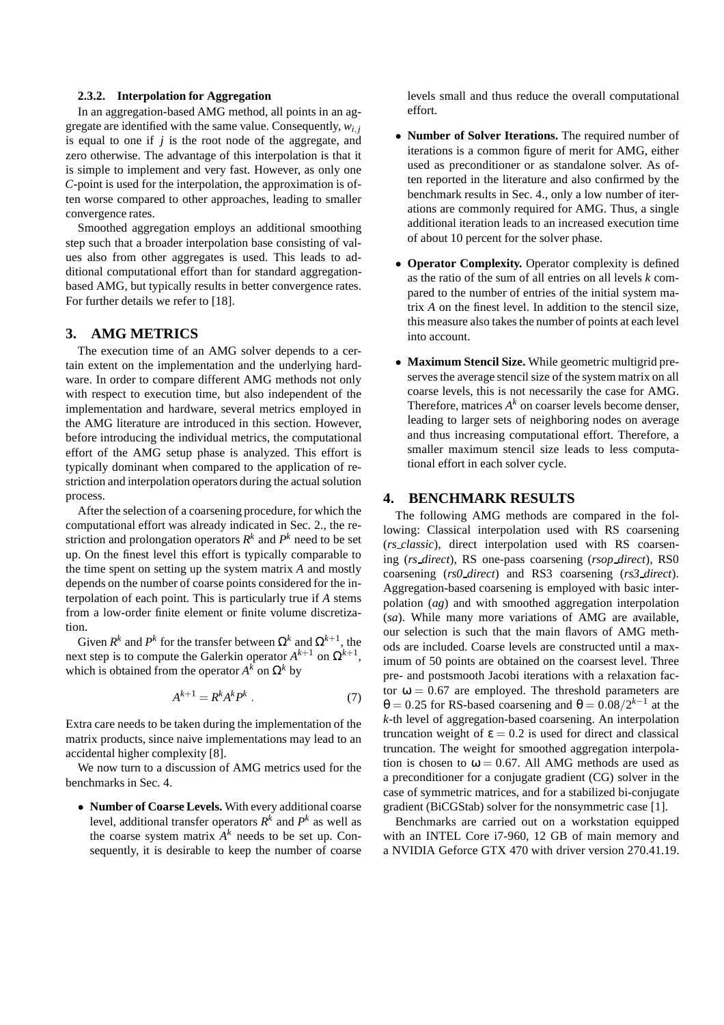## **2.3.2. Interpolation for Aggregation**

In an aggregation-based AMG method, all points in an aggregate are identified with the same value. Consequently,  $w_{i,i}$ is equal to one if *j* is the root node of the aggregate, and zero otherwise. The advantage of this interpolation is that it is simple to implement and very fast. However, as only one *C*-point is used for the interpolation, the approximation is often worse compared to other approaches, leading to smaller convergence rates.

Smoothed aggregation employs an additional smoothing step such that a broader interpolation base consisting of values also from other aggregates is used. This leads to additional computational effort than for standard aggregationbased AMG, but typically results in better convergence rates. For further details we refer to [18].

## **3. AMG METRICS**

The execution time of an AMG solver depends to a certain extent on the implementation and the underlying hardware. In order to compare different AMG methods not only with respect to execution time, but also independent of the implementation and hardware, several metrics employed in the AMG literature are introduced in this section. However, before introducing the individual metrics, the computational effort of the AMG setup phase is analyzed. This effort is typically dominant when compared to the application of restriction and interpolation operators during the actual solution process.

After the selection of a coarsening procedure, for which the computational effort was already indicated in Sec. 2., the restriction and prolongation operators  $R^k$  and  $P^k$  need to be set up. On the finest level this effort is typically comparable to the time spent on setting up the system matrix *A* and mostly depends on the number of coarse points considered for the interpolation of each point. This is particularly true if *A* stems from a low-order finite element or finite volume discretization.

Given  $R^k$  and  $P^k$  for the transfer between  $\Omega^k$  and  $\Omega^{k+1}$ , the next step is to compute the Galerkin operator  $A^{k+1}$  on  $\Omega^{k+1}$ , which is obtained from the operator  $A^k$  on  $\Omega^k$  by

$$
A^{k+1} = R^k A^k P^k \tag{7}
$$

Extra care needs to be taken during the implementation of the matrix products, since naive implementations may lead to an accidental higher complexity [8].

We now turn to a discussion of AMG metrics used for the benchmarks in Sec. 4.

• **Number of Coarse Levels.** With every additional coarse level, additional transfer operators  $R^k$  and  $P^k$  as well as the coarse system matrix  $A^k$  needs to be set up. Consequently, it is desirable to keep the number of coarse levels small and thus reduce the overall computational effort.

- **Number of Solver Iterations.** The required number of iterations is a common figure of merit for AMG, either used as preconditioner or as standalone solver. As often reported in the literature and also confirmed by the benchmark results in Sec. 4., only a low number of iterations are commonly required for AMG. Thus, a single additional iteration leads to an increased execution time of about 10 percent for the solver phase.
- **Operator Complexity.** Operator complexity is defined as the ratio of the sum of all entries on all levels *k* compared to the number of entries of the initial system matrix *A* on the finest level. In addition to the stencil size, this measure also takes the number of points at each level into account.
- **Maximum Stencil Size.** While geometric multigrid preserves the average stencil size of the system matrix on all coarse levels, this is not necessarily the case for AMG. Therefore, matrices  $A^k$  on coarser levels become denser, leading to larger sets of neighboring nodes on average and thus increasing computational effort. Therefore, a smaller maximum stencil size leads to less computational effort in each solver cycle.

## **4. BENCHMARK RESULTS**

The following AMG methods are compared in the following: Classical interpolation used with RS coarsening (*rs classic*), direct interpolation used with RS coarsening (*rs direct*), RS one-pass coarsening (*rsop direct*), RS0 coarsening (*rs0 direct*) and RS3 coarsening (*rs3 direct*). Aggregation-based coarsening is employed with basic interpolation (*ag*) and with smoothed aggregation interpolation (*sa*). While many more variations of AMG are available, our selection is such that the main flavors of AMG methods are included. Coarse levels are constructed until a maximum of 50 points are obtained on the coarsest level. Three pre- and postsmooth Jacobi iterations with a relaxation factor  $\omega = 0.67$  are employed. The threshold parameters are  $\theta = 0.25$  for RS-based coarsening and  $\theta = 0.08/2^{k-1}$  at the *k*-th level of aggregation-based coarsening. An interpolation truncation weight of  $\epsilon = 0.2$  is used for direct and classical truncation. The weight for smoothed aggregation interpolation is chosen to  $\omega = 0.67$ . All AMG methods are used as a preconditioner for a conjugate gradient (CG) solver in the case of symmetric matrices, and for a stabilized bi-conjugate gradient (BiCGStab) solver for the nonsymmetric case [1].

Benchmarks are carried out on a workstation equipped with an INTEL Core i7-960, 12 GB of main memory and a NVIDIA Geforce GTX 470 with driver version 270.41.19.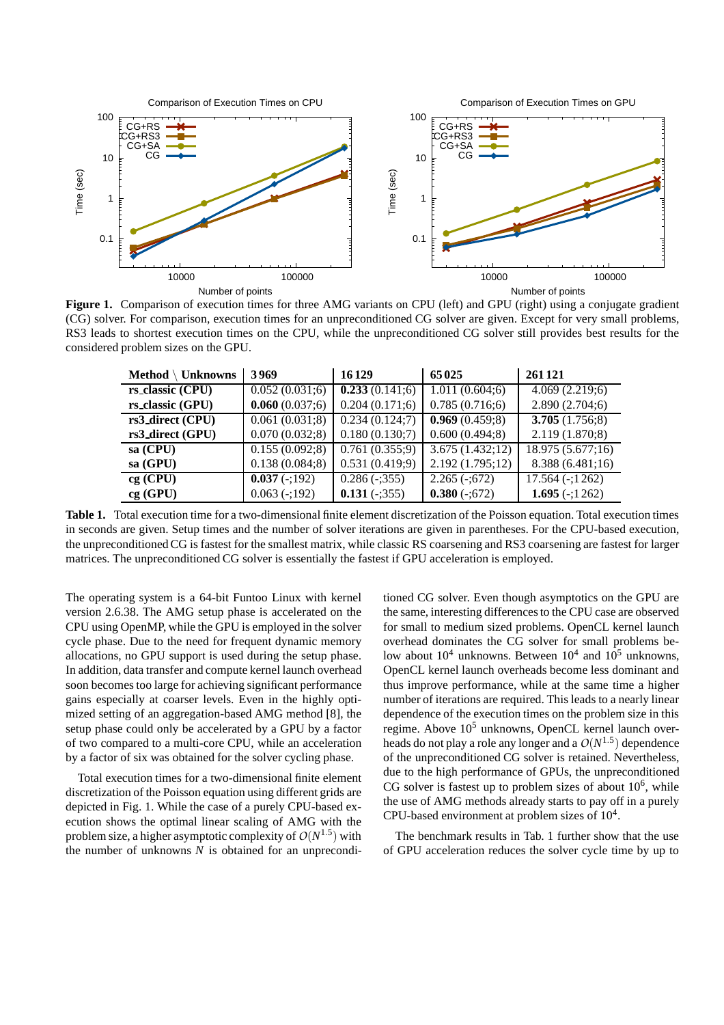

**Figure 1.** Comparison of execution times for three AMG variants on CPU (left) and GPU (right) using a conjugate gradient (CG) solver. For comparison, execution times for an unpreconditioned CG solver are given. Except for very small problems, RS3 leads to shortest execution times on the CPU, while the unpreconditioned CG solver still provides best results for the considered problem sizes on the GPU.

| $Method \setminus Unknowns$ | 3969               | 16129          | 65025               | 261 121                      |
|-----------------------------|--------------------|----------------|---------------------|------------------------------|
| rs_classic (CPU)            | 0.052(0.031;6)     | 0.233(0.141;6) | 1.011(0.604;6)      | 4.069(2.219;6)               |
| rs_classic (GPU)            | 0.060(0.037;6)     | 0.204(0.171;6) | 0.785(0.716;6)      | 2.890(2.704;6)               |
| rs3_direct (CPU)            | 0.061(0.031;8)     | 0.234(0.124;7) | 0.969(0.459;8)      | 3.705(1.756;8)               |
| rs3_direct (GPU)            | 0.070(0.032;8)     | 0.180(0.130;7) | 0.600(0.494;8)      | 2.119(1.870;8)               |
| $sa$ (CPU)                  | 0.155(0.092;8)     | 0.761(0.355;9) | 3.675(1.432;12)     | 18.975 (5.677;16)            |
| sa (GPU)                    | 0.138(0.084;8)     | 0.531(0.419;9) | 2.192(1.795;12)     | 8.388 (6.481;16)             |
| $cg$ (CPU)                  | $0.037(-192)$      | $0.286(-355)$  | $2.265(-0.672)$     | $\overline{17.564}$ (-;1262) |
| cg(GPU)                     | $0.063$ ( $-192$ ) | $0.131 (-355)$ | $0.380$ ( $-3572$ ) | 1.695 $(-1262)$              |

**Table 1.** Total execution time for a two-dimensional finite element discretization of the Poisson equation. Total execution times in seconds are given. Setup times and the number of solver iterations are given in parentheses. For the CPU-based execution, the unpreconditioned CG is fastest for the smallest matrix, while classic RS coarsening and RS3 coarsening are fastest for larger matrices. The unpreconditioned CG solver is essentially the fastest if GPU acceleration is employed.

The operating system is a 64-bit Funtoo Linux with kernel version 2.6.38. The AMG setup phase is accelerated on the CPU using OpenMP, while the GPU is employed in the solver cycle phase. Due to the need for frequent dynamic memory allocations, no GPU support is used during the setup phase. In addition, data transfer and compute kernel launch overhead soon becomes too large for achieving significant performance gains especially at coarser levels. Even in the highly optimized setting of an aggregation-based AMG method [8], the setup phase could only be accelerated by a GPU by a factor of two compared to a multi-core CPU, while an acceleration by a factor of six was obtained for the solver cycling phase.

Total execution times for a two-dimensional finite element discretization of the Poisson equation using different grids are depicted in Fig. 1. While the case of a purely CPU-based execution shows the optimal linear scaling of AMG with the problem size, a higher asymptotic complexity of  $O(N^{1.5})$  with the number of unknowns *N* is obtained for an unpreconditioned CG solver. Even though asymptotics on the GPU are the same, interesting differences to the CPU case are observed for small to medium sized problems. OpenCL kernel launch overhead dominates the CG solver for small problems below about  $10^4$  unknowns. Between  $10^4$  and  $10^5$  unknowns, OpenCL kernel launch overheads become less dominant and thus improve performance, while at the same time a higher number of iterations are required. This leads to a nearly linear dependence of the execution times on the problem size in this regime. Above  $10<sup>5</sup>$  unknowns, OpenCL kernel launch overheads do not play a role any longer and a  $O(N^{1.5})$  dependence of the unpreconditioned CG solver is retained. Nevertheless, due to the high performance of GPUs, the unpreconditioned CG solver is fastest up to problem sizes of about  $10^6$ , while the use of AMG methods already starts to pay off in a purely CPU-based environment at problem sizes of  $10<sup>4</sup>$ .

The benchmark results in Tab. 1 further show that the use of GPU acceleration reduces the solver cycle time by up to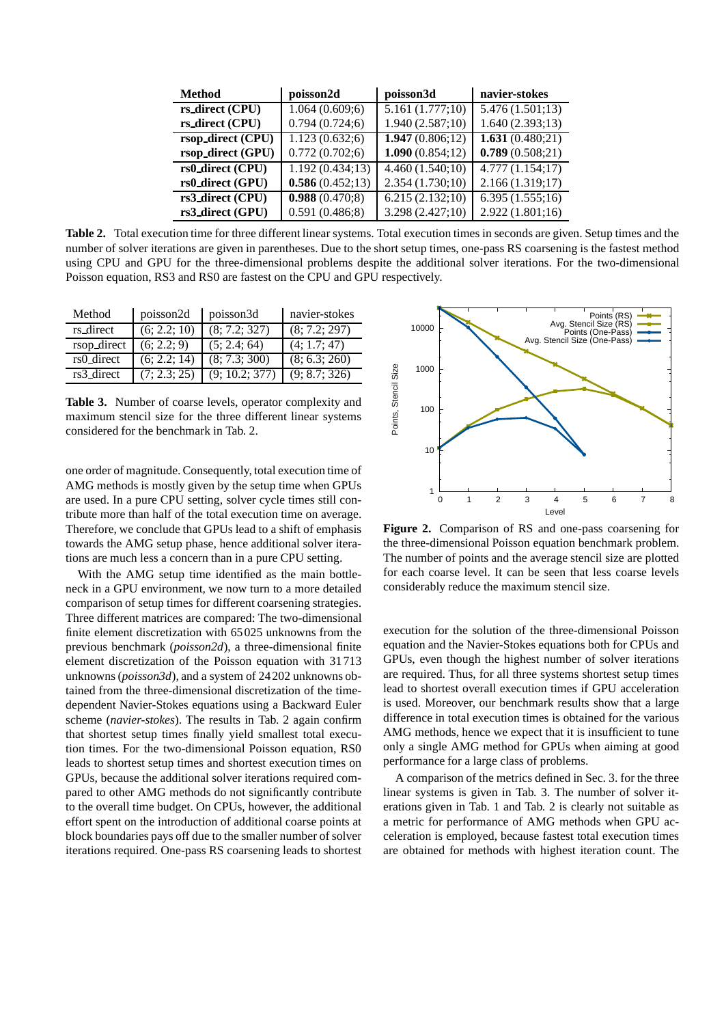| <b>Method</b>     | poisson2d       | poisson3d       | navier-stokes   |
|-------------------|-----------------|-----------------|-----------------|
| rs_direct (CPU)   | 1.064(0.609;6)  | 5.161(1.777;10) | 5.476(1.501;13) |
| rs_direct (CPU)   | 0.794(0.724;6)  | 1.940(2.587;10) | 1.640(2.393;13) |
| rsop_direct (CPU) | 1.123(0.632;6)  | 1.947(0.806;12) | 1.631(0.480;21) |
| rsop_direct (GPU) | 0.772(0.702;6)  | 1.090(0.854;12) | 0.789(0.508;21) |
| rs0_direct (CPU)  | 1.192(0.434;13) | 4.460(1.540;10) | 4.777(1.154;17) |
| rs0_direct (GPU)  | 0.586(0.452;13) | 2.354(1.730;10) | 2.166(1.319;17) |
| rs3_direct (CPU)  | 0.988(0.470;8)  | 6.215(2.132;10) | 6.395(1.555;16) |
| rs3_direct (GPU)  | 0.591(0.486;8)  | 3.298(2.427;10) | 2.922(1.801;16) |

**Table 2.** Total execution time for three different linear systems. Total execution times in seconds are given. Setup times and the number of solver iterations are given in parentheses. Due to the short setup times, one-pass RS coarsening is the fastest method using CPU and GPU for the three-dimensional problems despite the additional solver iterations. For the two-dimensional Poisson equation, RS3 and RS0 are fastest on the CPU and GPU respectively.

| Method      | poisson2d    | poisson3d                   | navier-stokes |
|-------------|--------------|-----------------------------|---------------|
| rs_direct   | (6; 2.2; 10) | (8; 7.2; 327)               | (8; 7.2; 297) |
| rsop_direct | (6; 2.2; 9)  | (5; 2.4; 64)                | (4; 1.7; 47)  |
| rs0_direct  | (6; 2.2; 14) | (8; 7.3; 300)               | (8; 6.3; 260) |
| rs3_direct  | (7; 2.3; 25) | $(9; 10.2; 3\overline{77})$ | (9; 8.7; 326) |

**Table 3.** Number of coarse levels, operator complexity and maximum stencil size for the three different linear systems considered for the benchmark in Tab. 2.

one order of magnitude. Consequently, total execution time of AMG methods is mostly given by the setup time when GPUs are used. In a pure CPU setting, solver cycle times still contribute more than half of the total execution time on average. Therefore, we conclude that GPUs lead to a shift of emphasis towards the AMG setup phase, hence additional solver iterations are much less a concern than in a pure CPU setting.

With the AMG setup time identified as the main bottleneck in a GPU environment, we now turn to a more detailed comparison of setup times for different coarsening strategies. Three different matrices are compared: The two-dimensional finite element discretization with 65025 unknowns from the previous benchmark (*poisson2d*), a three-dimensional finite element discretization of the Poisson equation with 31713 unknowns (*poisson3d*), and a system of 24202 unknowns obtained from the three-dimensional discretization of the timedependent Navier-Stokes equations using a Backward Euler scheme (*navier-stokes*). The results in Tab. 2 again confirm that shortest setup times finally yield smallest total execution times. For the two-dimensional Poisson equation, RS0 leads to shortest setup times and shortest execution times on GPUs, because the additional solver iterations required compared to other AMG methods do not significantly contribute to the overall time budget. On CPUs, however, the additional effort spent on the introduction of additional coarse points at block boundaries pays off due to the smaller number of solver iterations required. One-pass RS coarsening leads to shortest



**Figure 2.** Comparison of RS and one-pass coarsening for the three-dimensional Poisson equation benchmark problem. The number of points and the average stencil size are plotted for each coarse level. It can be seen that less coarse levels considerably reduce the maximum stencil size.

execution for the solution of the three-dimensional Poisson equation and the Navier-Stokes equations both for CPUs and GPUs, even though the highest number of solver iterations are required. Thus, for all three systems shortest setup times lead to shortest overall execution times if GPU acceleration is used. Moreover, our benchmark results show that a large difference in total execution times is obtained for the various AMG methods, hence we expect that it is insufficient to tune only a single AMG method for GPUs when aiming at good performance for a large class of problems.

A comparison of the metrics defined in Sec. 3. for the three linear systems is given in Tab. 3. The number of solver iterations given in Tab. 1 and Tab. 2 is clearly not suitable as a metric for performance of AMG methods when GPU acceleration is employed, because fastest total execution times are obtained for methods with highest iteration count. The